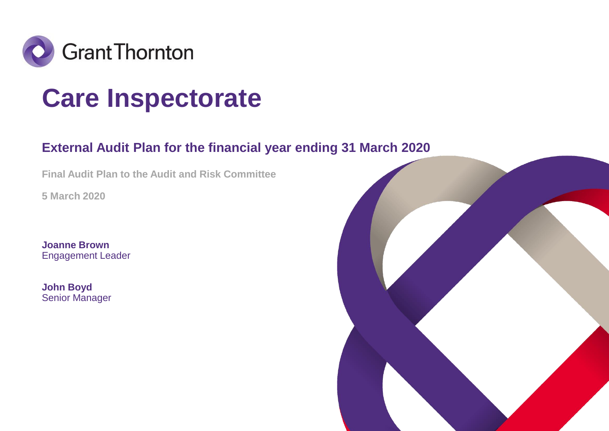

### **Care Inspectorate**

### **External Audit Plan for the financial year ending 31 March 2020**

**Final Audit Plan to the Audit and Risk Committee** 

**5 March 2020**

**Joanne Brown** Engagement Leader

**John Boyd** Senior Manager

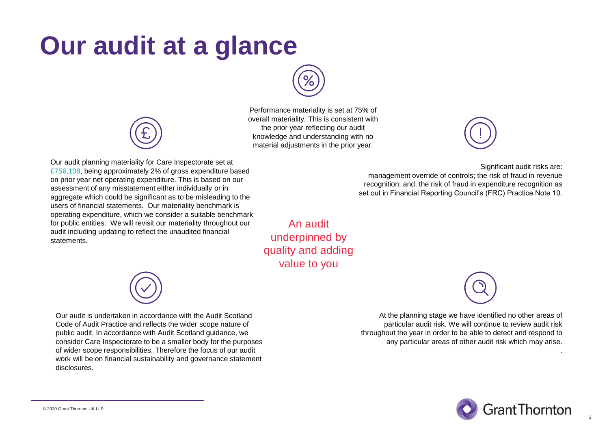### **Our audit at a glance**



Performance materiality is set at 75% of overall materiality. This is consistent with the prior year reflecting our audit knowledge and understanding with no material adjustments in the prior year.

Our audit planning materiality for Care Inspectorate set at £756,108, being approximately 2% of gross expenditure based on prior year net operating expenditure. This is based on our assessment of any misstatement either individually or in aggregate which could be significant as to be misleading to the users of financial statements. Our materiality benchmark is operating expenditure, which we consider a suitable benchmark for public entities. We will revisit our materiality throughout our audit including updating to reflect the unaudited financial statements.



Significant audit risks are:

management override of controls; the risk of fraud in revenue recognition; and, the risk of fraud in expenditure recognition as set out in Financial Reporting Council's (FRC) Practice Note 10.

An audit underpinned by quality and adding value to you

> At the planning stage we have identified no other areas of particular audit risk. We will continue to review audit risk throughout the year in order to be able to detect and respond to any particular areas of other audit risk which may arise.



2

.



Our audit is undertaken in accordance with the Audit Scotland Code of Audit Practice and reflects the wider scope nature of public audit. In accordance with Audit Scotland guidance, we consider Care Inspectorate to be a smaller body for the purposes of wider scope responsibilities. Therefore the focus of our audit work will be on financial sustainability and governance statement disclosures.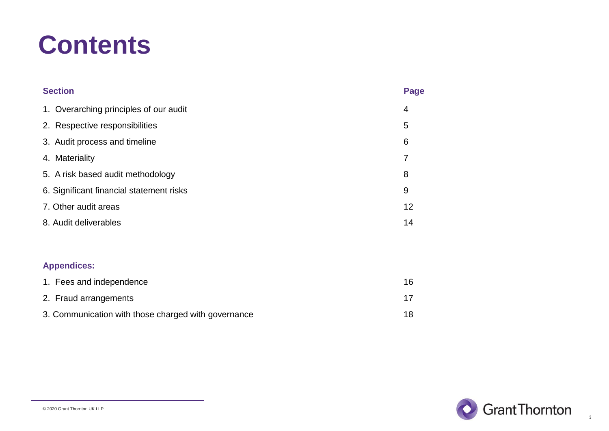### **Contents**

| <b>Section</b>                           | <b>Page</b> |
|------------------------------------------|-------------|
| 1. Overarching principles of our audit   | 4           |
| 2. Respective responsibilities           | 5           |
| 3. Audit process and timeline            | 6           |
| 4. Materiality                           | 7           |
| 5. A risk based audit methodology        | 8           |
| 6. Significant financial statement risks | 9           |
| 7. Other audit areas                     | 12          |
| 8. Audit deliverables                    | 14          |
|                                          |             |
| <b>Appendices:</b>                       |             |
| 1. Fees and independence                 | 16          |

| 2. Fraud arrangements                               |    |
|-----------------------------------------------------|----|
| 3. Communication with those charged with governance | 18 |

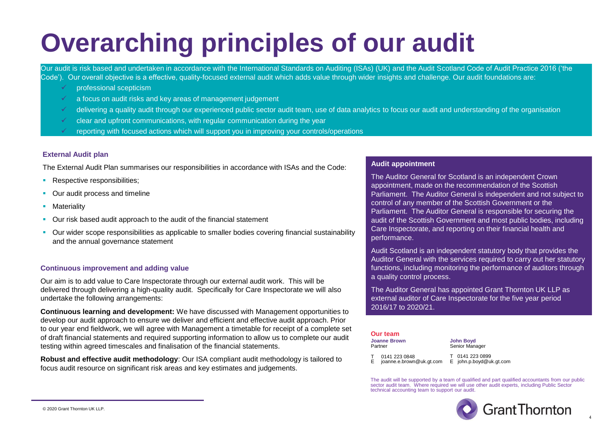### **Overarching principles of our audit**

Our audit is risk based and undertaken in accordance with the International Standards on Auditing (ISAs) (UK) and the Audit Scotland Code of Audit Practice 2016 ('the Code'). Our overall objective is a effective, quality-focused external audit which adds value through wider insights and challenge. Our audit foundations are:

- professional scepticism
- a focus on audit risks and key areas of management judgement
- ✓ delivering a quality audit through our experienced public sector audit team, use of data analytics to focus our audit and understanding of the organisation
- $\checkmark$  clear and upfront communications, with regular communication during the year
- reporting with focused actions which will support you in improving your controls/operations

### **External Audit plan**

The External Audit Plan summarises our responsibilities in accordance with ISAs and the Code:

- **Respective responsibilities:**
- Our audit process and timeline
- **■** Materiality
- Our risk based audit approach to the audit of the financial statement
- Our wider scope responsibilities as applicable to smaller bodies covering financial sustainability and the annual governance statement

#### **Continuous improvement and adding value**

Our aim is to add value to Care Inspectorate through our external audit work. This will be delivered through delivering a high-quality audit. Specifically for Care Inspectorate we will also undertake the following arrangements:

**Continuous learning and development:** We have discussed with Management opportunities to develop our audit approach to ensure we deliver and efficient and effective audit approach. Prior to our year end fieldwork, we will agree with Management a timetable for receipt of a complete set of draft financial statements and required supporting information to allow us to complete our audit testing within agreed timescales and finalisation of the financial statements.

**Robust and effective audit methodology**: Our ISA compliant audit methodology is tailored to focus audit resource on significant risk areas and key estimates and judgements.

#### **Audit appointment**

The Auditor General for Scotland is an independent Crown appointment, made on the recommendation of the Scottish Parliament. The Auditor General is independent and not subject to control of any member of the Scottish Government or the Parliament. The Auditor General is responsible for securing the audit of the Scottish Government and most public bodies, including Care Inspectorate, and reporting on their financial health and performance.

Audit Scotland is an independent statutory body that provides the Auditor General with the services required to carry out her statutory functions, including monitoring the performance of auditors through a quality control process.

The Auditor General has appointed Grant Thornton UK LLP as external auditor of Care Inspectorate for the five year period 2016/17 to 2020/21.

| <b>Our team</b>                |  |  |
|--------------------------------|--|--|
| <b>Joanne Brown</b><br>Partner |  |  |
|                                |  |  |

**John Boyd** Senior Manager

T 0141 223 0848 E joanne.e.brown@uk.gt.com

T 0141 223 0899 E john.p.boyd@uk.gt.com

The audit will be supported by a team of qualified and part qualified accountants from our public sector audit team. Where required we will use other audit experts, including Public Sector technical accounting team to support our audit.

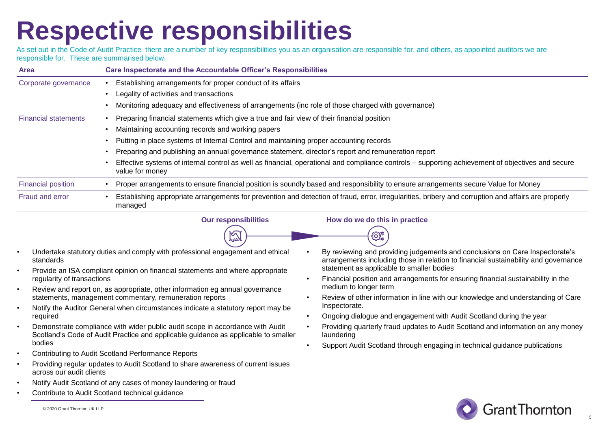### **Respective responsibilities**

As set out in the Code of Audit Practice there are a number of key responsibilities you as an organisation are responsible for, and others, as appointed auditors we are responsible for. These are summarised below:

| <b>Area</b>                 | <b>Care Inspectorate and the Accountable Officer's Responsibilities</b>                                                                                              |
|-----------------------------|----------------------------------------------------------------------------------------------------------------------------------------------------------------------|
| Corporate governance        | Establishing arrangements for proper conduct of its affairs                                                                                                          |
|                             | Legality of activities and transactions                                                                                                                              |
|                             | Monitoring adequacy and effectiveness of arrangements (inc role of those charged with governance)                                                                    |
| <b>Financial statements</b> | Preparing financial statements which give a true and fair view of their financial position                                                                           |
|                             | Maintaining accounting records and working papers                                                                                                                    |
|                             | Putting in place systems of Internal Control and maintaining proper accounting records                                                                               |
|                             | Preparing and publishing an annual governance statement, director's report and remuneration report                                                                   |
|                             | Effective systems of internal control as well as financial, operational and compliance controls – supporting achievement of objectives and secure<br>value for money |
| <b>Financial position</b>   | Proper arrangements to ensure financial position is soundly based and responsibility to ensure arrangements secure Value for Money                                   |
| Fraud and error             | Establishing appropriate arrangements for prevention and detection of fraud, error, irregularities, bribery and corruption and affairs are properly<br>managed       |

咫



ිස

- Undertake statutory duties and comply with professional engagement and ethical standards
- Provide an ISA compliant opinion on financial statements and where appropriate regularity of transactions
- Review and report on, as appropriate, other information eg annual governance statements, management commentary, remuneration reports
- Notify the Auditor General when circumstances indicate a statutory report may be required
- Demonstrate compliance with wider public audit scope in accordance with Audit Scotland's Code of Audit Practice and applicable guidance as applicable to smaller bodies
- Contributing to Audit Scotland Performance Reports
- Providing regular updates to Audit Scotland to share awareness of current issues across our audit clients
- Notify Audit Scotland of any cases of money laundering or fraud
- Contribute to Audit Scotland technical guidance

• By reviewing and providing judgements and conclusions on Care Inspectorate's arrangements including those in relation to financial sustainability and governance statement as applicable to smaller bodies

- Financial position and arrangements for ensuring financial sustainability in the medium to longer term
- Review of other information in line with our knowledge and understanding of Care Inspectorate.
- Ongoing dialogue and engagement with Audit Scotland during the year
- Providing quarterly fraud updates to Audit Scotland and information on any money laundering
- Support Audit Scotland through engaging in technical guidance publications



5

© 2020 Grant Thornton UK LLP.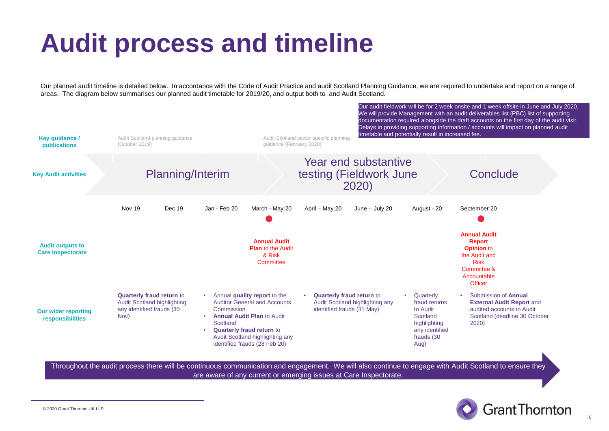### **Audit process and timeline**

Our planned audit timeline is detailed below. In accordance with the Code of Audit Practice and audit Scotland Planning Guidance, we are required to undertake and report on a range of areas. The diagram below summarises our planned audit timetable for 2019/20, and output both to and Audit Scotland.



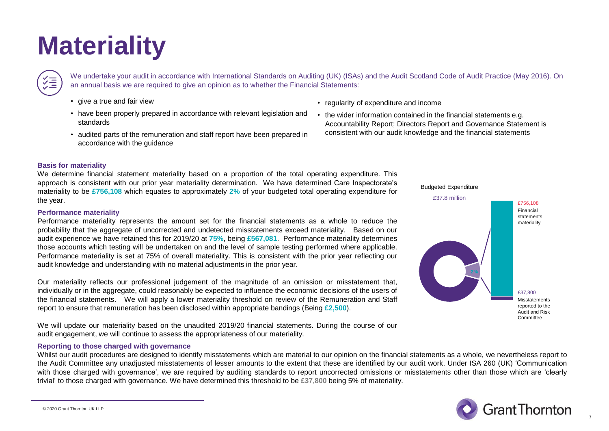### **Materiality**

We undertake your audit in accordance with International Standards on Auditing (UK) (ISAs) and the Audit Scotland Code of Audit Practice (May 2016). On an annual basis we are required to give an opinion as to whether the Financial Statements:

- give a true and fair view
- have been properly prepared in accordance with relevant legislation and standards
- audited parts of the remuneration and staff report have been prepared in accordance with the guidance
- regularity of expenditure and income
- the wider information contained in the financial statements e.g. Accountability Report; Directors Report and Governance Statement is consistent with our audit knowledge and the financial statements

#### **Basis for materiality**

We determine financial statement materiality based on a proportion of the total operating expenditure. This approach is consistent with our prior year materiality determination. We have determined Care Inspectorate's materiality to be **£756,108** which equates to approximately **2%** of your budgeted total operating expenditure for the year.

#### **Performance materiality**

Performance materiality represents the amount set for the financial statements as a whole to reduce the probability that the aggregate of uncorrected and undetected misstatements exceed materiality. Based on our audit experience we have retained this for 2019/20 at **75%**, being **£567,081**. Performance materiality determines those accounts which testing will be undertaken on and the level of sample testing performed where applicable. Performance materiality is set at 75% of overall materiality. This is consistent with the prior year reflecting our audit knowledge and understanding with no material adjustments in the prior year.

Our materiality reflects our professional judgement of the magnitude of an omission or misstatement that, individually or in the aggregate, could reasonably be expected to influence the economic decisions of the users of the financial statements. We will apply a lower materiality threshold on review of the Remuneration and Staff report to ensure that remuneration has been disclosed within appropriate bandings (Being **£2,500**).

We will update our materiality based on the unaudited 2019/20 financial statements. During the course of our audit engagement, we will continue to assess the appropriateness of our materiality.

#### **Reporting to those charged with governance**

Whilst our audit procedures are designed to identify misstatements which are material to our opinion on the financial statements as a whole, we nevertheless report to the Audit Committee any unadjusted misstatements of lesser amounts to the extent that these are identified by our audit work. Under ISA 260 (UK) 'Communication with those charged with governance', we are required by auditing standards to report uncorrected omissions or misstatements other than those which are 'clearly trivial' to those charged with governance. We have determined this threshold to be **£37,800** being 5% of materiality.







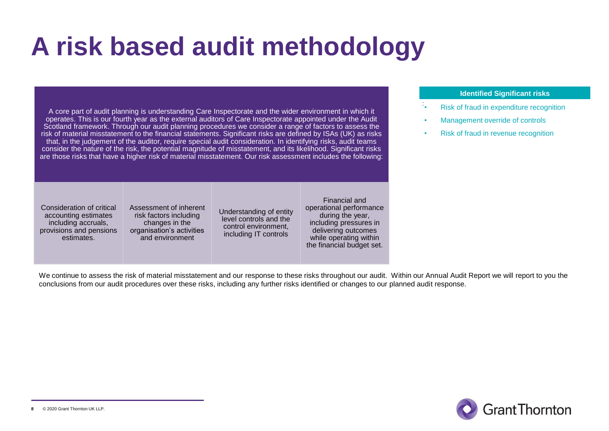### **A risk based audit methodology**

A core part of audit planning is understanding Care Inspectorate and the wider environment in which it operates. This is our fourth year as the external auditors of Care Inspectorate appointed under the Audit Scotland framework. Through our audit planning procedures we consider a range of factors to assess the risk of material misstatement to the financial statements. Significant risks are defined by ISAs (UK) as risks that, in the judgement of the auditor, require special audit consideration. In identifying risks, audit teams consider the nature of the risk, the potential magnitude of misstatement, and its likelihood. Significant risks are those risks that have a higher risk of material misstatement. Our risk assessment includes the following:

### **Identified Significant risks**

- : • Risk of fraud in expenditure recognition
- Management override of controls
- Risk of fraud in revenue recognition

Consideration of critical accounting estimates including accruals, provisions and pensions estimates.

Assessment of inherent risk factors including changes in the organisation's activities and environment

Understanding of entity level controls and the control environment, including IT controls

Financial and operational performance during the year, including pressures in delivering outcomes while operating within the financial budget set.

We continue to assess the risk of material misstatement and our response to these risks throughout our audit. Within our Annual Audit Report we will report to you the conclusions from our audit procedures over these risks, including any further risks identified or changes to our planned audit response.

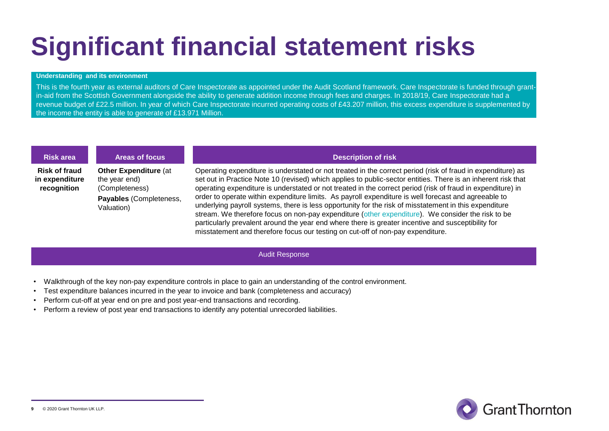### **Significant financial statement risks**

#### **Understanding and its environment**

This is the fourth year as external auditors of Care Inspectorate as appointed under the Audit Scotland framework. Care Inspectorate is funded through grantin-aid from the Scottish Government alongside the ability to generate addition income through fees and charges. In 2018/19, Care Inspectorate had a revenue budget of £22.5 million. In year of which Care Inspectorate incurred operating costs of £43.207 million, this excess expenditure is supplemented by the income the entity is able to generate of £13.971 Million.

**Risk of fraud in expenditure recognition**

**Other Expenditure** (at the year end) (Completeness) **Payables** (Completeness, Valuation)

### **Risk area Areas of focus Description of risk**

Operating expenditure is understated or not treated in the correct period (risk of fraud in expenditure) as set out in Practice Note 10 (revised) which applies to public-sector entities. There is an inherent risk that operating expenditure is understated or not treated in the correct period (risk of fraud in expenditure) in order to operate within expenditure limits. As payroll expenditure is well forecast and agreeable to underlying payroll systems, there is less opportunity for the risk of misstatement in this expenditure stream. We therefore focus on non-pay expenditure (other expenditure). We consider the risk to be particularly prevalent around the year end where there is greater incentive and susceptibility for misstatement and therefore focus our testing on cut-off of non-pay expenditure.

#### Audit Response

- Walkthrough of the key non-pay expenditure controls in place to gain an understanding of the control environment.
- Test expenditure balances incurred in the year to invoice and bank (completeness and accuracy)
- Perform cut-off at year end on pre and post year-end transactions and recording.
- Perform a review of post year end transactions to identify any potential unrecorded liabilities.

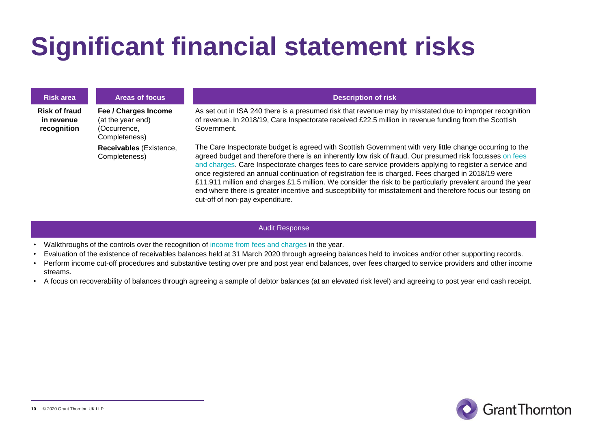### **Significant financial statement risks**

| <b>Risk area</b>                                  | <b>Areas of focus</b>                                                      | <b>Description of risk</b>                                                                                                                                                                                                                                                                                                                                                                                                                                                                                                                                                                                                                                                                               |
|---------------------------------------------------|----------------------------------------------------------------------------|----------------------------------------------------------------------------------------------------------------------------------------------------------------------------------------------------------------------------------------------------------------------------------------------------------------------------------------------------------------------------------------------------------------------------------------------------------------------------------------------------------------------------------------------------------------------------------------------------------------------------------------------------------------------------------------------------------|
| <b>Risk of fraud</b><br>in revenue<br>recognition | Fee / Charges Income<br>(at the year end)<br>(Occurrence.<br>Completeness) | As set out in ISA 240 there is a presumed risk that revenue may by misstated due to improper recognition<br>of revenue. In 2018/19, Care Inspectorate received £22.5 million in revenue funding from the Scottish<br>Government.                                                                                                                                                                                                                                                                                                                                                                                                                                                                         |
|                                                   | Receivables (Existence,<br>Completeness)                                   | The Care Inspectorate budget is agreed with Scottish Government with very little change occurring to the<br>agreed budget and therefore there is an inherently low risk of fraud. Our presumed risk focusses on fees<br>and charges. Care Inspectorate charges fees to care service providers applying to register a service and<br>once registered an annual continuation of registration fee is charged. Fees charged in 2018/19 were<br>£11.911 million and charges £1.5 million. We consider the risk to be particularly prevalent around the year<br>end where there is greater incentive and susceptibility for misstatement and therefore focus our testing on<br>cut-off of non-pay expenditure. |

#### Audit Response

- Walkthroughs of the controls over the recognition of income from fees and charges in the year.
- Evaluation of the existence of receivables balances held at 31 March 2020 through agreeing balances held to invoices and/or other supporting records.
- Perform income cut-off procedures and substantive testing over pre and post year end balances, over fees charged to service providers and other income streams.
- A focus on recoverability of balances through agreeing a sample of debtor balances (at an elevated risk level) and agreeing to post year end cash receipt.

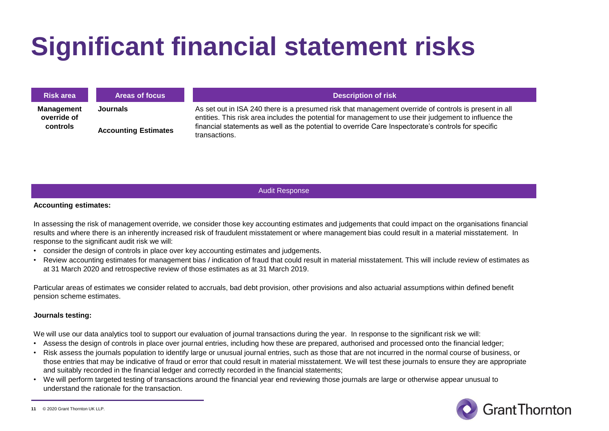### **Significant financial statement risks**

| <b>Risk area</b>                             | <b>Areas of focus</b>                   | <b>Description of risk</b>                                                                                                                                                                                                                                                                                                              |
|----------------------------------------------|-----------------------------------------|-----------------------------------------------------------------------------------------------------------------------------------------------------------------------------------------------------------------------------------------------------------------------------------------------------------------------------------------|
| <b>Management</b><br>override of<br>controls | Journals<br><b>Accounting Estimates</b> | As set out in ISA 240 there is a presumed risk that management override of controls is present in all<br>entities. This risk area includes the potential for management to use their judgement to influence the<br>financial statements as well as the potential to override Care Inspectorate's controls for specific<br>transactions. |

Audit Response

#### **Accounting estimates:**

In assessing the risk of management override, we consider those key accounting estimates and judgements that could impact on the organisations financial results and where there is an inherently increased risk of fraudulent misstatement or where management bias could result in a material misstatement. In response to the significant audit risk we will:

- consider the design of controls in place over key accounting estimates and judgements.
- Review accounting estimates for management bias / indication of fraud that could result in material misstatement. This will include review of estimates as at 31 March 2020 and retrospective review of those estimates as at 31 March 2019.

Particular areas of estimates we consider related to accruals, bad debt provision, other provisions and also actuarial assumptions within defined benefit pension scheme estimates.

#### **Journals testing:**

We will use our data analytics tool to support our evaluation of journal transactions during the year. In response to the significant risk we will:

- Assess the design of controls in place over journal entries, including how these are prepared, authorised and processed onto the financial ledger;
- Risk assess the journals population to identify large or unusual journal entries, such as those that are not incurred in the normal course of business, or those entries that may be indicative of fraud or error that could result in material misstatement. We will test these journals to ensure they are appropriate and suitably recorded in the financial ledger and correctly recorded in the financial statements;
- We will perform targeted testing of transactions around the financial year end reviewing those journals are large or otherwise appear unusual to understand the rationale for the transaction.



<sup>© 2020</sup> Grant Thornton UK LLP. **11**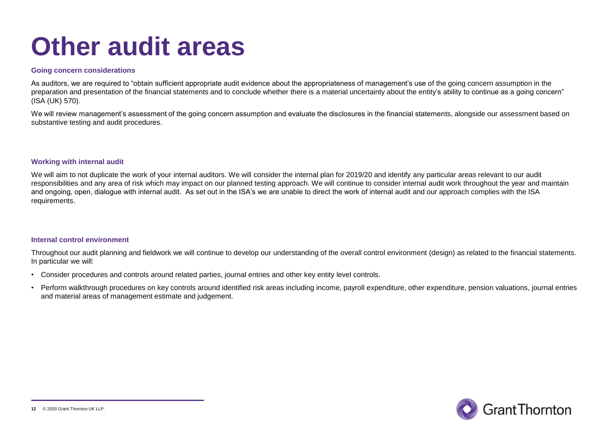### **Other audit areas**

#### **Going concern considerations**

As auditors, we are required to "obtain sufficient appropriate audit evidence about the appropriateness of management's use of the going concern assumption in the preparation and presentation of the financial statements and to conclude whether there is a material uncertainty about the entity's ability to continue as a going concern" (ISA (UK) 570).

We will review management's assessment of the going concern assumption and evaluate the disclosures in the financial statements, alongside our assessment based on substantive testing and audit procedures.

### **Working with internal audit**

We will aim to not duplicate the work of your internal auditors. We will consider the internal plan for 2019/20 and identify any particular areas relevant to our audit responsibilities and any area of risk which may impact on our planned testing approach. We will continue to consider internal audit work throughout the year and maintain and ongoing, open, dialogue with internal audit. As set out in the ISA's we are unable to direct the work of internal audit and our approach complies with the ISA requirements.

#### **Internal control environment**

Throughout our audit planning and fieldwork we will continue to develop our understanding of the overall control environment (design) as related to the financial statements. In particular we will:

- Consider procedures and controls around related parties, journal entries and other key entity level controls.
- Perform walkthrough procedures on key controls around identified risk areas including income, payroll expenditure, other expenditure, pension valuations, journal entries and material areas of management estimate and judgement.

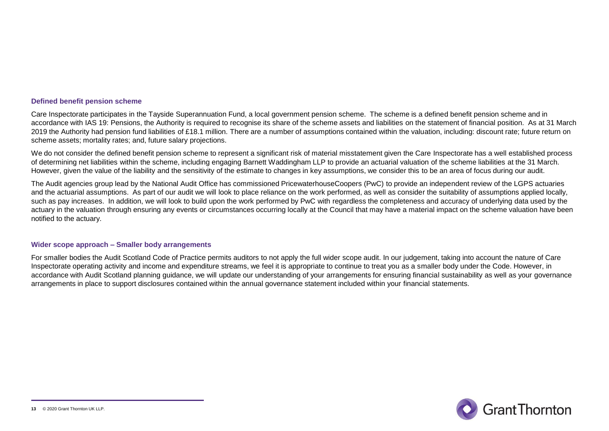#### **Defined benefit pension scheme**

Care Inspectorate participates in the Tayside Superannuation Fund, a local government pension scheme. The scheme is a defined benefit pension scheme and in accordance with IAS 19: Pensions, the Authority is required to recognise its share of the scheme assets and liabilities on the statement of financial position. As at 31 March 2019 the Authority had pension fund liabilities of £18.1 million. There are a number of assumptions contained within the valuation, including: discount rate; future return on scheme assets; mortality rates; and, future salary projections.

We do not consider the defined benefit pension scheme to represent a significant risk of material misstatement given the Care Inspectorate has a well established process of determining net liabilities within the scheme, including engaging Barnett Waddingham LLP to provide an actuarial valuation of the scheme liabilities at the 31 March. However, given the value of the liability and the sensitivity of the estimate to changes in key assumptions, we consider this to be an area of focus during our audit.

The Audit agencies group lead by the National Audit Office has commissioned PricewaterhouseCoopers (PwC) to provide an independent review of the LGPS actuaries and the actuarial assumptions. As part of our audit we will look to place reliance on the work performed, as well as consider the suitability of assumptions applied locally, such as pay increases. In addition, we will look to build upon the work performed by PwC with regardless the completeness and accuracy of underlying data used by the actuary in the valuation through ensuring any events or circumstances occurring locally at the Council that may have a material impact on the scheme valuation have been notified to the actuary.

#### **Wider scope approach – Smaller body arrangements**

For smaller bodies the Audit Scotland Code of Practice permits auditors to not apply the full wider scope audit. In our judgement, taking into account the nature of Care Inspectorate operating activity and income and expenditure streams, we feel it is appropriate to continue to treat you as a smaller body under the Code. However, in accordance with Audit Scotland planning guidance, we will update our understanding of your arrangements for ensuring financial sustainability as well as your governance arrangements in place to support disclosures contained within the annual governance statement included within your financial statements.

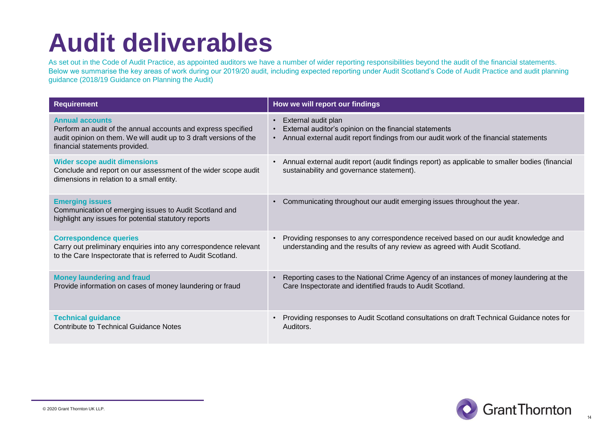### **Audit deliverables**

As set out in the Code of Audit Practice, as appointed auditors we have a number of wider reporting responsibilities beyond the audit of the financial statements. Below we summarise the key areas of work during our 2019/20 audit, including expected reporting under Audit Scotland's Code of Audit Practice and audit planning guidance (2018/19 Guidance on Planning the Audit)

| <b>Requirement</b>                                                                                                                                                                              | How we will report our findings                                                                                                                                                                  |
|-------------------------------------------------------------------------------------------------------------------------------------------------------------------------------------------------|--------------------------------------------------------------------------------------------------------------------------------------------------------------------------------------------------|
| <b>Annual accounts</b><br>Perform an audit of the annual accounts and express specified<br>audit opinion on them. We will audit up to 3 draft versions of the<br>financial statements provided. | External audit plan<br>$\bullet$<br>External auditor's opinion on the financial statements<br>Annual external audit report findings from our audit work of the financial statements<br>$\bullet$ |
| <b>Wider scope audit dimensions</b><br>Conclude and report on our assessment of the wider scope audit<br>dimensions in relation to a small entity.                                              | Annual external audit report (audit findings report) as applicable to smaller bodies (financial<br>$\bullet$<br>sustainability and governance statement).                                        |
| <b>Emerging issues</b><br>Communication of emerging issues to Audit Scotland and<br>highlight any issues for potential statutory reports                                                        | Communicating throughout our audit emerging issues throughout the year.<br>$\bullet$                                                                                                             |
| <b>Correspondence queries</b><br>Carry out preliminary enquiries into any correspondence relevant<br>to the Care Inspectorate that is referred to Audit Scotland.                               | Providing responses to any correspondence received based on our audit knowledge and<br>understanding and the results of any review as agreed with Audit Scotland.                                |
| <b>Money laundering and fraud</b><br>Provide information on cases of money laundering or fraud                                                                                                  | Reporting cases to the National Crime Agency of an instances of money laundering at the<br>Care Inspectorate and identified frauds to Audit Scotland.                                            |
| <b>Technical guidance</b><br><b>Contribute to Technical Guidance Notes</b>                                                                                                                      | Providing responses to Audit Scotland consultations on draft Technical Guidance notes for<br>Auditors.                                                                                           |

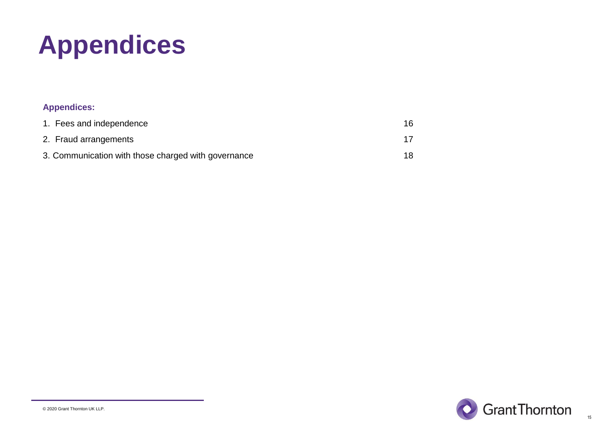# **Appendices**

### **Appendices:**

| 1. Fees and independence                            | 16 |
|-----------------------------------------------------|----|
| 2. Fraud arrangements                               |    |
| 3. Communication with those charged with governance | 18 |

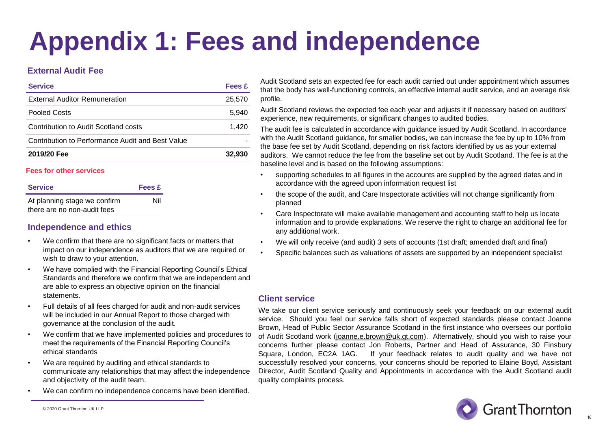# **Appendix 1: Fees and independence**

### **External Audit Fee**

| <b>Service</b>                                   | Fees £ |
|--------------------------------------------------|--------|
| <b>External Auditor Remuneration</b>             | 25,570 |
| Pooled Costs                                     | 5.940  |
| Contribution to Audit Scotland costs             | 1.420  |
| Contribution to Performance Audit and Best Value |        |
| 2019/20 Fee                                      | 32,930 |

#### **Fees for other services**

| <b>Service</b>                                              | <b>Fees £</b> |  |
|-------------------------------------------------------------|---------------|--|
| At planning stage we confirm<br>there are no non-audit fees | Nil           |  |

### **Independence and ethics**

- We confirm that there are no significant facts or matters that impact on our independence as auditors that we are required or wish to draw to your attention.
- We have complied with the Financial Reporting Council's Ethical Standards and therefore we confirm that we are independent and are able to express an objective opinion on the financial statements.
- Full details of all fees charged for audit and non-audit services will be included in our Annual Report to those charged with governance at the conclusion of the audit.
- We confirm that we have implemented policies and procedures to meet the requirements of the Financial Reporting Council's ethical standards
- We are required by auditing and ethical standards to communicate any relationships that may affect the independence and objectivity of the audit team.
- We can confirm no independence concerns have been identified.

Audit Scotland sets an expected fee for each audit carried out under appointment which assumes that the body has well-functioning controls, an effective internal audit service, and an average risk profile.

Audit Scotland reviews the expected fee each year and adjusts it if necessary based on auditors' experience, new requirements, or significant changes to audited bodies.

The audit fee is calculated in accordance with guidance issued by Audit Scotland. In accordance with the Audit Scotland guidance, for smaller bodies, we can increase the fee by up to 10% from the base fee set by Audit Scotland, depending on risk factors identified by us as your external auditors. We cannot reduce the fee from the baseline set out by Audit Scotland. The fee is at the baseline level and is based on the following assumptions:

- supporting schedules to all figures in the accounts are supplied by the agreed dates and in accordance with the agreed upon information request list
- the scope of the audit, and Care Inspectorate activities will not change significantly from planned
- Care Inspectorate will make available management and accounting staff to help us locate information and to provide explanations. We reserve the right to charge an additional fee for any additional work.
- We will only receive (and audit) 3 sets of accounts (1st draft; amended draft and final)
- Specific balances such as valuations of assets are supported by an independent specialist

### **Client service**

We take our client service seriously and continuously seek your feedback on our external audit service. Should you feel our service falls short of expected standards please contact Joanne Brown, Head of Public Sector Assurance Scotland in the first instance who oversees our portfolio of Audit Scotland work [\(joanne.e.brown@uk.gt.com\)](mailto:joanne.e.brown@uk.gt.com). Alternatively, should you wish to raise your concerns further please contact Jon Roberts, Partner and Head of Assurance, 30 Finsbury Square, London, EC2A 1AG. If your feedback relates to audit quality and we have not successfully resolved your concerns, your concerns should be reported to Elaine Boyd, Assistant Director, Audit Scotland Quality and Appointments in accordance with the Audit Scotland audit quality complaints process.

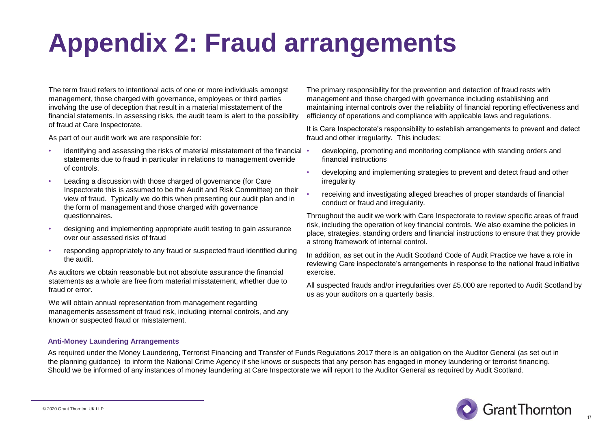### **Appendix 2: Fraud arrangements**

The term fraud refers to intentional acts of one or more individuals amongst management, those charged with governance, employees or third parties involving the use of deception that result in a material misstatement of the financial statements. In assessing risks, the audit team is alert to the possibility of fraud at Care Inspectorate.

As part of our audit work we are responsible for:

- identifying and assessing the risks of material misstatement of the financial statements due to fraud in particular in relations to management override of controls.
- Leading a discussion with those charged of governance (for Care Inspectorate this is assumed to be the Audit and Risk Committee) on their view of fraud. Typically we do this when presenting our audit plan and in the form of management and those charged with governance questionnaires.
- designing and implementing appropriate audit testing to gain assurance over our assessed risks of fraud
- responding appropriately to any fraud or suspected fraud identified during the audit.

As auditors we obtain reasonable but not absolute assurance the financial statements as a whole are free from material misstatement, whether due to fraud or error.

We will obtain annual representation from management regarding managements assessment of fraud risk, including internal controls, and any known or suspected fraud or misstatement.

The primary responsibility for the prevention and detection of fraud rests with management and those charged with governance including establishing and maintaining internal controls over the reliability of financial reporting effectiveness and efficiency of operations and compliance with applicable laws and regulations.

It is Care Inspectorate's responsibility to establish arrangements to prevent and detect fraud and other irregularity. This includes:

- developing, promoting and monitoring compliance with standing orders and financial instructions
- developing and implementing strategies to prevent and detect fraud and other irregularity
- receiving and investigating alleged breaches of proper standards of financial conduct or fraud and irregularity.

Throughout the audit we work with Care Inspectorate to review specific areas of fraud risk, including the operation of key financial controls. We also examine the policies in place, strategies, standing orders and financial instructions to ensure that they provide a strong framework of internal control.

In addition, as set out in the Audit Scotland Code of Audit Practice we have a role in reviewing Care inspectorate's arrangements in response to the national fraud initiative exercise.

All suspected frauds and/or irregularities over £5,000 are reported to Audit Scotland by us as your auditors on a quarterly basis.

### **Anti-Money Laundering Arrangements**

As required under the Money Laundering, Terrorist Financing and Transfer of Funds Regulations 2017 there is an obligation on the Auditor General (as set out in the planning guidance) to inform the National Crime Agency if she knows or suspects that any person has engaged in money laundering or terrorist financing. Should we be informed of any instances of money laundering at Care Inspectorate we will report to the Auditor General as required by Audit Scotland.

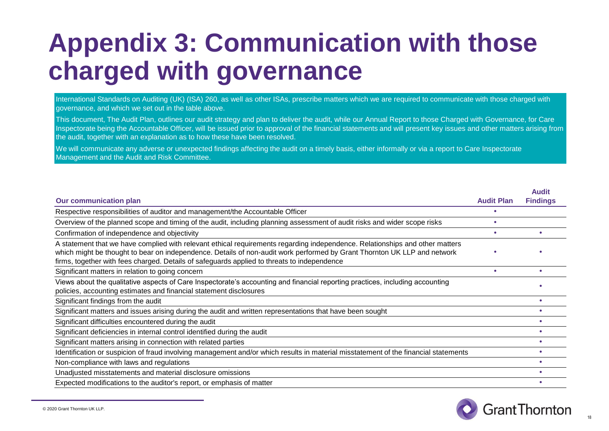### **Appendix 3: Communication with those charged with governance**

International Standards on Auditing (UK) (ISA) 260, as well as other ISAs, prescribe matters which we are required to communicate with those charged with governance, and which we set out in the table above.

This document, The Audit Plan, outlines our audit strategy and plan to deliver the audit, while our Annual Report to those Charged with Governance, for Care Inspectorate being the Accountable Officer, will be issued prior to approval of the financial statements and will present key issues and other matters arising from the audit, together with an explanation as to how these have been resolved.

We will communicate any adverse or unexpected findings affecting the audit on a timely basis, either informally or via a report to Care Inspectorate Management and the Audit and Risk Committee.

|                                                                                                                                                                                                                                                                                                                                                         |                   | <b>Audit</b>    |
|---------------------------------------------------------------------------------------------------------------------------------------------------------------------------------------------------------------------------------------------------------------------------------------------------------------------------------------------------------|-------------------|-----------------|
| <b>Our communication plan</b>                                                                                                                                                                                                                                                                                                                           | <b>Audit Plan</b> | <b>Findings</b> |
| Respective responsibilities of auditor and management/the Accountable Officer                                                                                                                                                                                                                                                                           |                   |                 |
| Overview of the planned scope and timing of the audit, including planning assessment of audit risks and wider scope risks                                                                                                                                                                                                                               |                   |                 |
| Confirmation of independence and objectivity                                                                                                                                                                                                                                                                                                            | ٠                 |                 |
| A statement that we have complied with relevant ethical requirements regarding independence. Relationships and other matters<br>which might be thought to bear on independence. Details of non-audit work performed by Grant Thornton UK LLP and network<br>firms, together with fees charged. Details of safeguards applied to threats to independence |                   |                 |
| Significant matters in relation to going concern                                                                                                                                                                                                                                                                                                        |                   |                 |
| Views about the qualitative aspects of Care Inspectorate's accounting and financial reporting practices, including accounting<br>policies, accounting estimates and financial statement disclosures                                                                                                                                                     |                   |                 |
| Significant findings from the audit                                                                                                                                                                                                                                                                                                                     |                   |                 |
| Significant matters and issues arising during the audit and written representations that have been sought                                                                                                                                                                                                                                               |                   |                 |
| Significant difficulties encountered during the audit                                                                                                                                                                                                                                                                                                   |                   |                 |
| Significant deficiencies in internal control identified during the audit                                                                                                                                                                                                                                                                                |                   |                 |
| Significant matters arising in connection with related parties                                                                                                                                                                                                                                                                                          |                   |                 |
| Identification or suspicion of fraud involving management and/or which results in material misstatement of the financial statements                                                                                                                                                                                                                     |                   |                 |
| Non-compliance with laws and regulations                                                                                                                                                                                                                                                                                                                |                   |                 |
| Unadjusted misstatements and material disclosure omissions                                                                                                                                                                                                                                                                                              |                   |                 |
| Expected modifications to the auditor's report, or emphasis of matter                                                                                                                                                                                                                                                                                   |                   |                 |